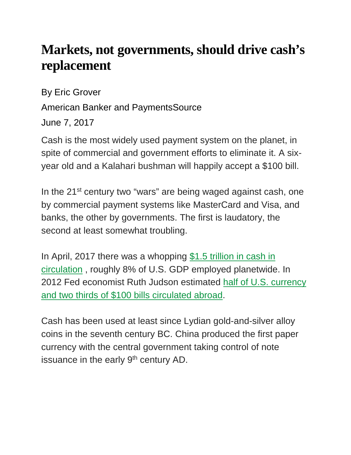## **Markets, not governments, should drive cash's replacement**

By Eric Grover

American Banker and PaymentsSource

June 7, 2017

Cash is the most widely used payment system on the planet, in spite of commercial and government efforts to eliminate it. A sixyear old and a Kalahari bushman will happily accept a \$100 bill.

In the 21<sup>st</sup> century two "wars" are being waged against cash, one by commercial payment systems like MasterCard and Visa, and banks, the other by governments. The first is laudatory, the second at least somewhat troubling.

In April, 2017 there was a whopping [\\$1.5 trillion in cash in](https://fred.stlouisfed.org/series/WCURCIR)  [circulation](https://fred.stlouisfed.org/series/WCURCIR) , roughly 8% of U.S. GDP employed planetwide. In 2012 Fed economist Ruth Judson estimated half of U.S. currency [and two thirds of \\$100 bills circulated abroad.](https://www.federalreserve.gov/pubs/ifdp/2012/1058/ifdp1058.pdf)

Cash has been used at least since Lydian gold-and-silver alloy coins in the seventh century BC. China produced the first paper currency with the central government taking control of note issuance in the early  $9<sup>th</sup>$  century AD.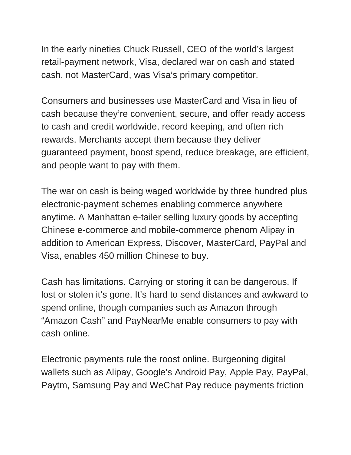In the early nineties Chuck Russell, CEO of the world's largest retail-payment network, Visa, declared war on cash and stated cash, not MasterCard, was Visa's primary competitor.

Consumers and businesses use MasterCard and Visa in lieu of cash because they're convenient, secure, and offer ready access to cash and credit worldwide, record keeping, and often rich rewards. Merchants accept them because they deliver guaranteed payment, boost spend, reduce breakage, are efficient, and people want to pay with them.

The war on cash is being waged worldwide by three hundred plus electronic-payment schemes enabling commerce anywhere anytime. A Manhattan e-tailer selling luxury goods by accepting Chinese e-commerce and mobile-commerce phenom Alipay in addition to American Express, Discover, MasterCard, PayPal and Visa, enables 450 million Chinese to buy.

Cash has limitations. Carrying or storing it can be dangerous. If lost or stolen it's gone. It's hard to send distances and awkward to spend online, though companies such as Amazon through "Amazon Cash" and PayNearMe enable consumers to pay with cash online.

Electronic payments rule the roost online. Burgeoning digital wallets such as Alipay, Google's Android Pay, Apple Pay, PayPal, Paytm, Samsung Pay and WeChat Pay reduce payments friction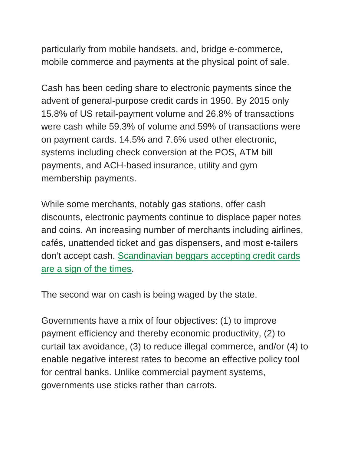particularly from mobile handsets, and, bridge e-commerce, mobile commerce and payments at the physical point of sale.

Cash has been ceding share to electronic payments since the advent of general-purpose credit cards in 1950. By 2015 only 15.8% of US retail-payment volume and 26.8% of transactions were cash while 59.3% of volume and 59% of transactions were on payment cards. 14.5% and 7.6% used other electronic, systems including check conversion at the POS, ATM bill payments, and ACH-based insurance, utility and gym membership payments.

While some merchants, notably gas stations, offer cash discounts, electronic payments continue to displace paper notes and coins. An increasing number of merchants including airlines, cafés, unattended ticket and gas dispensers, and most e-tailers don't accept cash. [Scandinavian beggars accepting credit cards](https://www.bloomberg.com/news/articles/2013-10-27/stockholm-s-homeless-accept-cards-as-cash-no-longer-king)  [are a sign of the times.](https://www.bloomberg.com/news/articles/2013-10-27/stockholm-s-homeless-accept-cards-as-cash-no-longer-king)

The second war on cash is being waged by the state.

Governments have a mix of four objectives: (1) to improve payment efficiency and thereby economic productivity, (2) to curtail tax avoidance, (3) to reduce illegal commerce, and/or (4) to enable negative interest rates to become an effective policy tool for central banks. Unlike commercial payment systems, governments use sticks rather than carrots.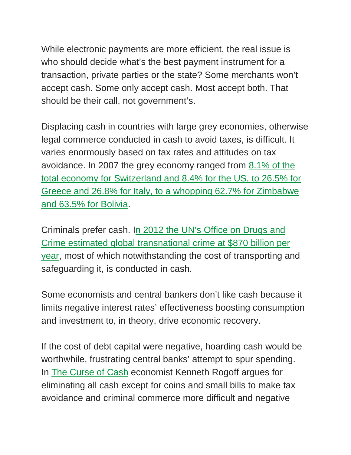While electronic payments are more efficient, the real issue is who should decide what's the best payment instrument for a transaction, private parties or the state? Some merchants won't accept cash. Some only accept cash. Most accept both. That should be their call, not government's.

Displacing cash in countries with large grey economies, otherwise legal commerce conducted in cash to avoid taxes, is difficult. It varies enormously based on tax rates and attitudes on tax avoidance. In 2007 the grey economy ranged from [8.1% of the](http://elibrary.worldbank.org/doi/abs/10.1596/1813-9450-5356)  [total economy for Switzerland and 8.4% for the US, to 26.5% for](http://elibrary.worldbank.org/doi/abs/10.1596/1813-9450-5356)  [Greece and 26.8% for Italy, to a whopping 62.7% for Zimbabwe](http://elibrary.worldbank.org/doi/abs/10.1596/1813-9450-5356)  [and 63.5% for Bolivia.](http://elibrary.worldbank.org/doi/abs/10.1596/1813-9450-5356)

Criminals prefer cash. [In 2012 the UN's Office on Drugs and](https://www.unodc.org/unodc/en/frontpage/2012/July/new-unodc-campaign-highlights-transnational-organized-crime-as-an-us-870-billion-a-year-business.html)  [Crime estimated global transnational crime at \\$870 billion per](https://www.unodc.org/unodc/en/frontpage/2012/July/new-unodc-campaign-highlights-transnational-organized-crime-as-an-us-870-billion-a-year-business.html)  [year,](https://www.unodc.org/unodc/en/frontpage/2012/July/new-unodc-campaign-highlights-transnational-organized-crime-as-an-us-870-billion-a-year-business.html) most of which notwithstanding the cost of transporting and safeguarding it, is conducted in cash.

Some economists and central bankers don't like cash because it limits negative interest rates' effectiveness boosting consumption and investment to, in theory, drive economic recovery.

If the cost of debt capital were negative, hoarding cash would be worthwhile, frustrating central banks' attempt to spur spending. In [The Curse of Cash](https://www.amazon.com/Curse-Cash-Kenneth-S-Rogoff/dp/0691172137) economist Kenneth Rogoff argues for eliminating all cash except for coins and small bills to make tax avoidance and criminal commerce more difficult and negative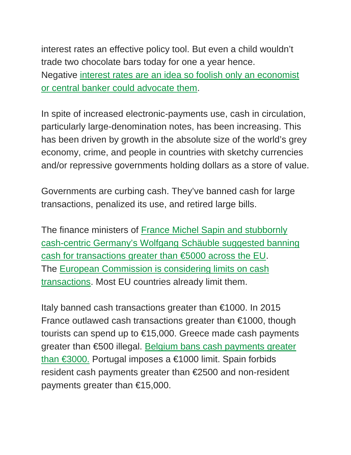interest rates an effective policy tool. But even a child wouldn't trade two chocolate bars today for one a year hence. Negative [interest rates are an idea so foolish only an economist](https://www.americanbanker.com/opinion/negative-interest-rates-arent-just-dangerous-they-dont-work)  [or central banker could advocate them.](https://www.americanbanker.com/opinion/negative-interest-rates-arent-just-dangerous-they-dont-work)

In spite of increased electronic-payments use, cash in circulation, particularly large-denomination notes, has been increasing. This has been driven by growth in the absolute size of the world's grey economy, crime, and people in countries with sketchy currencies and/or repressive governments holding dollars as a store of value.

Governments are curbing cash. They've banned cash for large transactions, penalized its use, and retired large bills.

The finance ministers of [France Michel Sapin and stubbornly](https://sputniknews.com/europe/201602101034515521-5000-euros-cash-ban-terrorism/)  [cash-centric Germany's Wolfgang Schäuble suggested banning](https://sputniknews.com/europe/201602101034515521-5000-euros-cash-ban-terrorism/)  [cash for transactions greater than €5000 across the EU.](https://sputniknews.com/europe/201602101034515521-5000-euros-cash-ban-terrorism/) The [European Commission is considering limits on cash](http://ec.europa.eu/smart-regulation/roadmaps/docs/plan_2016_028_cash_restrictions_en.pdf)  [transactions.](http://ec.europa.eu/smart-regulation/roadmaps/docs/plan_2016_028_cash_restrictions_en.pdf) Most EU countries already limit them.

Italy banned cash transactions greater than €1000. In 2015 France outlawed cash transactions greater than €1000, though tourists can spend up to €15,000. Greece made cash payments greater than €500 illegal. Belgium bans cash payments greater [than €3000.](http://www.peeters-law.be/documents/news-items/63-cashbetalingen-boven-5.000-euro.xml) Portugal imposes a €1000 limit. Spain forbids resident cash payments greater than €2500 and non-resident payments greater than €15,000.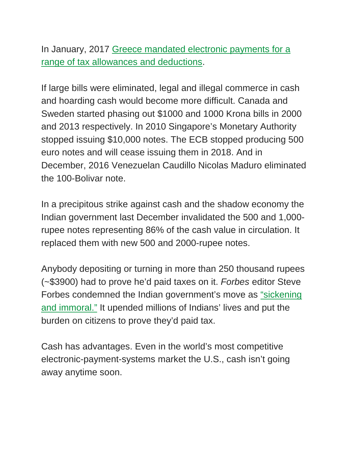In January, 2017 [Greece mandated electronic payments for a](http://www.keeptalkinggreece.com/2017/01/03/greece-bans-cash-tax-allowance-possible-only-through-payments-via-plastic-money/)  [range of tax allowances and deductions.](http://www.keeptalkinggreece.com/2017/01/03/greece-bans-cash-tax-allowance-possible-only-through-payments-via-plastic-money/)

If large bills were eliminated, legal and illegal commerce in cash and hoarding cash would become more difficult. Canada and Sweden started phasing out \$1000 and 1000 Krona bills in 2000 and 2013 respectively. In 2010 Singapore's Monetary Authority stopped issuing \$10,000 notes. The ECB stopped producing 500 euro notes and will cease issuing them in 2018. And in December, 2016 Venezuelan Caudillo Nicolas Maduro eliminated the 100-Bolivar note.

In a precipitous strike against cash and the shadow economy the Indian government last December invalidated the 500 and 1,000 rupee notes representing 86% of the cash value in circulation. It replaced them with new 500 and 2000-rupee notes.

Anybody depositing or turning in more than 250 thousand rupees (~\$3900) had to prove he'd paid taxes on it. *Forbes* editor Steve Forbes condemned the Indian government's move as ["sickening](https://www.forbes.com/forbes/welcome/?toURL=https://www.forbes.com/sites/steveforbes/2016/12/22/what-india-has-done-to-its-money-is-sickening-and-immoral/&refURL=https://www.google.com/&referrer=https://www.google.com/)  [and immoral."](https://www.forbes.com/forbes/welcome/?toURL=https://www.forbes.com/sites/steveforbes/2016/12/22/what-india-has-done-to-its-money-is-sickening-and-immoral/&refURL=https://www.google.com/&referrer=https://www.google.com/) It upended millions of Indians' lives and put the burden on citizens to prove they'd paid tax.

Cash has advantages. Even in the world's most competitive electronic-payment-systems market the U.S., cash isn't going away anytime soon.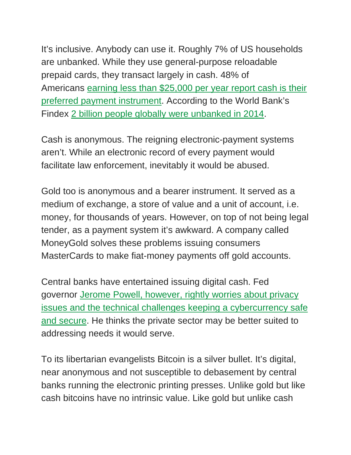It's inclusive. Anybody can use it. Roughly 7% of US households are unbanked. While they use general-purpose reloadable prepaid cards, they transact largely in cash. 48% of Americans [earning less than \\$25,000 per year report cash is their](http://www.frbsf.org/cash/publications/fed-notes/2016/november/state-of-cash-2015-diary-consumer-payment-choice)  [preferred payment instrument.](http://www.frbsf.org/cash/publications/fed-notes/2016/november/state-of-cash-2015-diary-consumer-payment-choice) According to the World Bank's Findex [2 billion people globally were unbanked in 2014.](http://www.worldbank.org/en/programs/globalfindex)

Cash is anonymous. The reigning electronic-payment systems aren't. While an electronic record of every payment would facilitate law enforcement, inevitably it would be abused.

Gold too is anonymous and a bearer instrument. It served as a medium of exchange, a store of value and a unit of account, i.e. money, for thousands of years. However, on top of not being legal tender, as a payment system it's awkward. A company called MoneyGold solves these problems issuing consumers MasterCards to make fiat-money payments off gold accounts.

Central banks have entertained issuing digital cash. Fed governor [Jerome Powell, however, rightly worries about privacy](https://www.federalreserve.gov/newsevents/speech/powell20170303a.htm)  [issues and the technical challenges keeping a cybercurrency safe](https://www.federalreserve.gov/newsevents/speech/powell20170303a.htm)  [and secure.](https://www.federalreserve.gov/newsevents/speech/powell20170303a.htm) He thinks the private sector may be better suited to addressing needs it would serve.

To its libertarian evangelists Bitcoin is a silver bullet. It's digital, near anonymous and not susceptible to debasement by central banks running the electronic printing presses. Unlike gold but like cash bitcoins have no intrinsic value. Like gold but unlike cash